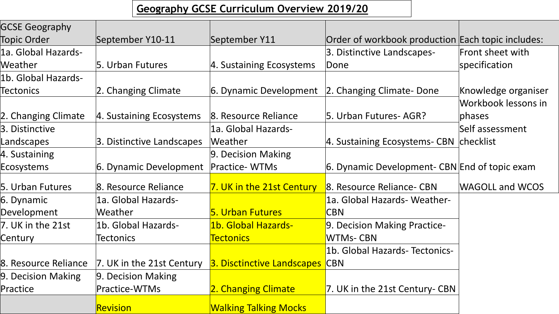### **Geography GCSE Curriculum Overview 2019/20**

| <b>GCSE Geography</b> |                           |                              |                                                   |                        |
|-----------------------|---------------------------|------------------------------|---------------------------------------------------|------------------------|
| <b>Topic Order</b>    | September Y10-11          | September Y11                | Order of workbook production Each topic includes: |                        |
| 1a. Global Hazards-   |                           |                              | 3. Distinctive Landscapes-                        | Front sheet with       |
| Weather               | 5. Urban Futures          | 4. Sustaining Ecosystems     | Done                                              | specification          |
| 1b. Global Hazards-   |                           |                              |                                                   |                        |
| <b>Tectonics</b>      | 2. Changing Climate       | 6. Dynamic Development       | 2. Changing Climate-Done                          | Knowledge organiser    |
|                       |                           |                              |                                                   | Workbook lessons in    |
| 2. Changing Climate   | 4. Sustaining Ecosystems  | 8. Resource Reliance         | 5. Urban Futures-AGR?                             | <b>phases</b>          |
| 3. Distinctive        |                           | 1a. Global Hazards-          |                                                   | Self assessment        |
| Landscapes            | 3. Distinctive Landscapes | Weather                      | 4. Sustaining Ecosystems- CBN checklist           |                        |
| 4. Sustaining         |                           | 9. Decision Making           |                                                   |                        |
| <b>Ecosystems</b>     | 6. Dynamic Development    | Practice-WTMs                | 6. Dynamic Development- CBN End of topic exam     |                        |
| 5. Urban Futures      | 8. Resource Reliance      | 7. UK in the 21st Century    | 8. Resource Reliance- CBN                         | <b>WAGOLL and WCOS</b> |
| 6. Dynamic            | 1a. Global Hazards-       |                              | 1a. Global Hazards- Weather-                      |                        |
| Development           | Weather                   | <b>5. Urban Futures</b>      | <b>CBN</b>                                        |                        |
| 7. UK in the 21st     | 1b. Global Hazards-       | 1b. Global Hazards-          | 9. Decision Making Practice-                      |                        |
| Century               | <b>Tectonics</b>          | <b>Tectonics</b>             | <b>WTMs-CBN</b>                                   |                        |
|                       |                           |                              | 1b. Global Hazards-Tectonics-                     |                        |
| 8. Resource Reliance  | 7. UK in the 21st Century | 3. Disctinctive Landscapes   | <b>CBN</b>                                        |                        |
| 9. Decision Making    | 9. Decision Making        |                              |                                                   |                        |
| Practice              | Practice-WTMs             | 2. Changing Climate          | 7. UK in the 21st Century-CBN                     |                        |
|                       | <b>Revision</b>           | <b>Walking Talking Mocks</b> |                                                   |                        |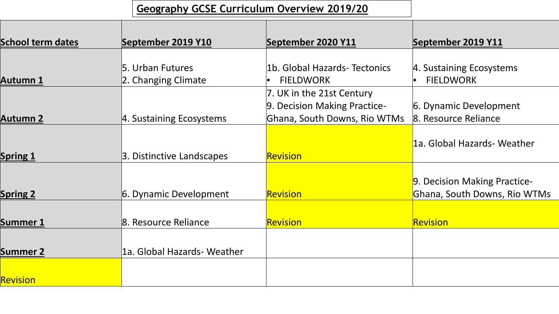## **Geography GCSE Curriculum Overview 2019/20**

| <b>School term dates</b> | September 2019 Y10                      | September 2020 Y11                                                                        | September 2019 Y11                                           |
|--------------------------|-----------------------------------------|-------------------------------------------------------------------------------------------|--------------------------------------------------------------|
|                          |                                         |                                                                                           |                                                              |
| <b>Autumn 1</b>          | 5. Urban Futures<br>2. Changing Climate | 1b. Global Hazards-Tectonics<br><b>FIELDWORK</b>                                          | 4. Sustaining Ecosystems<br><b>FIELDWORK</b>                 |
| <b>Autumn 2</b>          | 4. Sustaining Ecosystems                | 7. UK in the 21st Century<br>9. Decision Making Practice-<br>Ghana, South Downs, Rio WTMs | 6. Dynamic Development<br>8. Resource Reliance               |
| <b>Spring 1</b>          | 3. Distinctive Landscapes               | Revision                                                                                  | 1a. Global Hazards- Weather                                  |
| <b>Spring 2</b>          | 6. Dynamic Development                  | Revision                                                                                  | 9. Decision Making Practice-<br>Ghana, South Downs, Rio WTMs |
| Summer 1                 | 8. Resource Reliance                    | Revision                                                                                  | <b>Revision</b>                                              |
| <b>Summer 2</b>          | 1a. Global Hazards- Weather             |                                                                                           |                                                              |
| <b>Revision</b>          |                                         |                                                                                           |                                                              |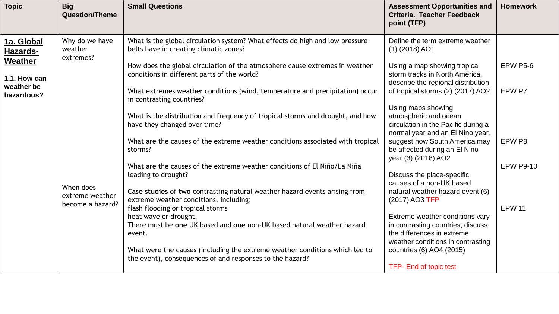| <b>Topic</b>                                    | <b>Big</b><br><b>Question/Theme</b>              | <b>Small Questions</b>                                                                                                                                                                                | <b>Assessment Opportunities and</b><br>Criteria. Teacher Feedback<br>point (TFP)                                                        | <b>Homework</b>  |
|-------------------------------------------------|--------------------------------------------------|-------------------------------------------------------------------------------------------------------------------------------------------------------------------------------------------------------|-----------------------------------------------------------------------------------------------------------------------------------------|------------------|
| 1a. Global<br><b>Hazards-</b><br><b>Weather</b> | Why do we have<br>weather<br>extremes?           | What is the global circulation system? What effects do high and low pressure<br>belts have in creating climatic zones?<br>How does the global circulation of the atmosphere cause extremes in weather | Define the term extreme weather<br>$(1)$ (2018) AO1<br>Using a map showing tropical                                                     | <b>EPW P5-6</b>  |
| 1.1. How can<br>weather be                      |                                                  | conditions in different parts of the world?                                                                                                                                                           | storm tracks in North America,<br>describe the regional distribution                                                                    |                  |
| hazardous?                                      |                                                  | What extremes weather conditions (wind, temperature and precipitation) occur<br>in contrasting countries?                                                                                             | of tropical storms (2) (2017) AO2<br>Using maps showing                                                                                 | EPW P7           |
|                                                 |                                                  | What is the distribution and frequency of tropical storms and drought, and how<br>have they changed over time?                                                                                        | atmospheric and ocean<br>circulation in the Pacific during a<br>normal year and an El Nino year,                                        |                  |
|                                                 |                                                  | What are the causes of the extreme weather conditions associated with tropical<br>storms?                                                                                                             | suggest how South America may<br>be affected during an El Nino<br>year (3) (2018) AO2                                                   | EPW P8           |
|                                                 | When does<br>extreme weather<br>become a hazard? | What are the causes of the extreme weather conditions of El Niño/La Niña<br>leading to drought?                                                                                                       | Discuss the place-specific<br>causes of a non-UK based                                                                                  | <b>EPW P9-10</b> |
|                                                 |                                                  | Case studies of two contrasting natural weather hazard events arising from<br>extreme weather conditions, including;<br>flash flooding or tropical storms                                             | natural weather hazard event (6)<br>(2017) AO3 TFP                                                                                      | <b>EPW 11</b>    |
|                                                 |                                                  | heat wave or drought.<br>There must be one UK based and one non-UK based natural weather hazard<br>event.                                                                                             | Extreme weather conditions vary<br>in contrasting countries, discuss<br>the differences in extreme<br>weather conditions in contrasting |                  |
|                                                 |                                                  | What were the causes (including the extreme weather conditions which led to<br>the event), consequences of and responses to the hazard?                                                               | countries (6) AO4 (2015)<br><b>TFP-End of topic test</b>                                                                                |                  |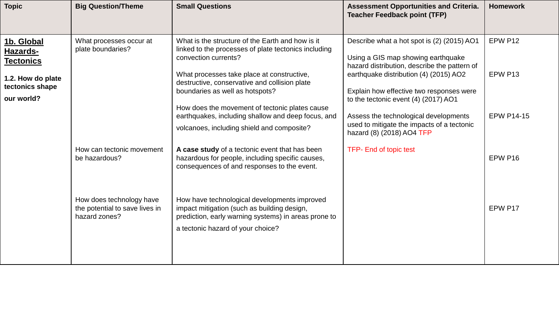| <b>Topic</b>                                                                                     | <b>Big Question/Theme</b>                                                   | <b>Small Questions</b>                                                                                                                                                                                                                                                                                                                                                                                                   | <b>Assessment Opportunities and Criteria.</b><br><b>Teacher Feedback point (TFP)</b>                                                                                                                                                                                                                                                                                               | <b>Homework</b>                         |
|--------------------------------------------------------------------------------------------------|-----------------------------------------------------------------------------|--------------------------------------------------------------------------------------------------------------------------------------------------------------------------------------------------------------------------------------------------------------------------------------------------------------------------------------------------------------------------------------------------------------------------|------------------------------------------------------------------------------------------------------------------------------------------------------------------------------------------------------------------------------------------------------------------------------------------------------------------------------------------------------------------------------------|-----------------------------------------|
| 1b. Global<br>Hazards-<br><b>Tectonics</b><br>1.2. How do plate<br>tectonics shape<br>our world? | What processes occur at<br>plate boundaries?                                | What is the structure of the Earth and how is it<br>linked to the processes of plate tectonics including<br>convection currents?<br>What processes take place at constructive,<br>destructive, conservative and collision plate<br>boundaries as well as hotspots?<br>How does the movement of tectonic plates cause<br>earthquakes, including shallow and deep focus, and<br>volcanoes, including shield and composite? | Describe what a hot spot is (2) (2015) AO1<br>Using a GIS map showing earthquake<br>hazard distribution, describe the pattern of<br>earthquake distribution (4) (2015) AO2<br>Explain how effective two responses were<br>to the tectonic event (4) (2017) AO1<br>Assess the technological developments<br>used to mitigate the impacts of a tectonic<br>hazard (8) (2018) AO4 TFP | EPW P12<br>EPW P13<br><b>EPW P14-15</b> |
|                                                                                                  | How can tectonic movement<br>be hazardous?                                  | A case study of a tectonic event that has been<br>hazardous for people, including specific causes,<br>consequences of and responses to the event.                                                                                                                                                                                                                                                                        | <b>TFP-</b> End of topic test                                                                                                                                                                                                                                                                                                                                                      | EPW P16                                 |
|                                                                                                  | How does technology have<br>the potential to save lives in<br>hazard zones? | How have technological developments improved<br>impact mitigation (such as building design,<br>prediction, early warning systems) in areas prone to<br>a tectonic hazard of your choice?                                                                                                                                                                                                                                 |                                                                                                                                                                                                                                                                                                                                                                                    | EPW P17                                 |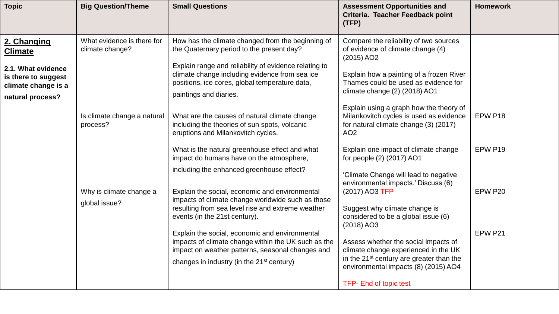| <b>Topic</b>                                                                                                          | <b>Big Question/Theme</b>                     | <b>Small Questions</b>                                                                                                                                                                                                                                                                                                                                                                                          | <b>Assessment Opportunities and</b><br>Criteria. Teacher Feedback point<br>(TFP)                                                                                                                                                                                                                                                                               | <b>Homework</b>    |
|-----------------------------------------------------------------------------------------------------------------------|-----------------------------------------------|-----------------------------------------------------------------------------------------------------------------------------------------------------------------------------------------------------------------------------------------------------------------------------------------------------------------------------------------------------------------------------------------------------------------|----------------------------------------------------------------------------------------------------------------------------------------------------------------------------------------------------------------------------------------------------------------------------------------------------------------------------------------------------------------|--------------------|
| 2. Changing<br><b>Climate</b><br>2.1. What evidence<br>is there to suggest<br>climate change is a<br>natural process? | What evidence is there for<br>climate change? | How has the climate changed from the beginning of<br>the Quaternary period to the present day?<br>Explain range and reliability of evidence relating to<br>climate change including evidence from sea ice<br>positions, ice cores, global temperature data,<br>paintings and diaries.                                                                                                                           | Compare the reliability of two sources<br>of evidence of climate change (4)<br>$(2015)$ AO2<br>Explain how a painting of a frozen River<br>Thames could be used as evidence for<br>climate change (2) (2018) AO1                                                                                                                                               |                    |
|                                                                                                                       | Is climate change a natural<br>process?       | What are the causes of natural climate change<br>including the theories of sun spots, volcanic<br>eruptions and Milankovitch cycles.<br>What is the natural greenhouse effect and what<br>impact do humans have on the atmosphere,<br>including the enhanced greenhouse effect?                                                                                                                                 | Explain using a graph how the theory of<br>Milankovitch cycles is used as evidence<br>for natural climate change (3) (2017)<br>AO <sub>2</sub><br>Explain one impact of climate change<br>for people (2) (2017) AO1<br>'Climate Change will lead to negative                                                                                                   | EPW P18<br>EPW P19 |
|                                                                                                                       | Why is climate change a<br>global issue?      | Explain the social, economic and environmental<br>impacts of climate change worldwide such as those<br>resulting from sea level rise and extreme weather<br>events (in the 21st century).<br>Explain the social, economic and environmental<br>impacts of climate change within the UK such as the<br>impact on weather patterns, seasonal changes and<br>changes in industry (in the 21 <sup>st</sup> century) | environmental impacts.' Discuss (6)<br>(2017) AO3 TFP<br>Suggest why climate change is<br>considered to be a global issue (6)<br>$(2018)$ AO3<br>Assess whether the social impacts of<br>climate change experienced in the UK<br>in the 21 <sup>st</sup> century are greater than the<br>environmental impacts (8) (2015) AO4<br><b>TFP- End of topic test</b> | EPW P20<br>EPW P21 |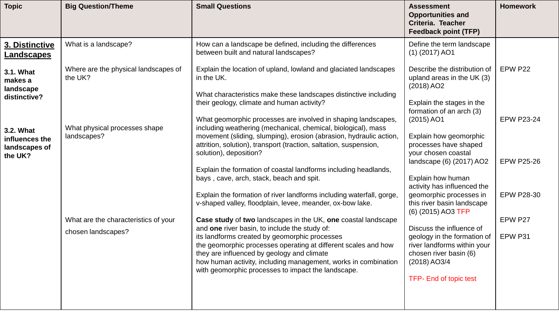| <b>Topic</b>                                            | <b>Big Question/Theme</b>                                  | <b>Small Questions</b>                                                                                                                                                                                                                                                                                                                                                                                  | <b>Assessment</b><br><b>Opportunities and</b><br>Criteria. Teacher<br><b>Feedback point (TFP)</b>                                                          | <b>Homework</b>    |
|---------------------------------------------------------|------------------------------------------------------------|---------------------------------------------------------------------------------------------------------------------------------------------------------------------------------------------------------------------------------------------------------------------------------------------------------------------------------------------------------------------------------------------------------|------------------------------------------------------------------------------------------------------------------------------------------------------------|--------------------|
| 3. Distinctive<br>Landscapes                            | What is a landscape?                                       | How can a landscape be defined, including the differences<br>between built and natural landscapes?                                                                                                                                                                                                                                                                                                      | Define the term landscape<br>$(1)$ (2017) AO1                                                                                                              |                    |
| 3.1. What<br>makes a<br>landscape                       | Where are the physical landscapes of<br>the UK?            | Explain the location of upland, lowland and glaciated landscapes<br>in the UK.                                                                                                                                                                                                                                                                                                                          | Describe the distribution of<br>upland areas in the UK (3)<br>$(2018)$ AO2                                                                                 | EPW P22            |
| distinctive?                                            |                                                            | What characteristics make these landscapes distinctive including<br>their geology, climate and human activity?<br>What geomorphic processes are involved in shaping landscapes,                                                                                                                                                                                                                         | Explain the stages in the<br>formation of an arch (3)<br>$(2015)$ AO1                                                                                      | <b>EPW P23-24</b>  |
| 3.2. What<br>influences the<br>landscapes of<br>the UK? | What physical processes shape<br>landscapes?               | including weathering (mechanical, chemical, biological), mass<br>movement (sliding, slumping), erosion (abrasion, hydraulic action,<br>attrition, solution), transport (traction, saltation, suspension,<br>solution), deposition?                                                                                                                                                                      | Explain how geomorphic<br>processes have shaped<br>your chosen coastal<br>landscape (6) (2017) AO2                                                         | <b>EPW P25-26</b>  |
|                                                         |                                                            | Explain the formation of coastal landforms including headlands,<br>bays, cave, arch, stack, beach and spit.                                                                                                                                                                                                                                                                                             | Explain how human<br>activity has influenced the                                                                                                           |                    |
|                                                         |                                                            | Explain the formation of river landforms including waterfall, gorge,<br>v-shaped valley, floodplain, levee, meander, ox-bow lake.                                                                                                                                                                                                                                                                       | geomorphic processes in<br>this river basin landscape<br>(6) (2015) AO3 TFP                                                                                | <b>EPW P28-30</b>  |
|                                                         | What are the characteristics of your<br>chosen landscapes? | Case study of two landscapes in the UK, one coastal landscape<br>and one river basin, to include the study of:<br>its landforms created by geomorphic processes<br>the geomorphic processes operating at different scales and how<br>they are influenced by geology and climate<br>how human activity, including management, works in combination<br>with geomorphic processes to impact the landscape. | Discuss the influence of<br>geology in the formation of<br>river landforms within your<br>chosen river basin (6)<br>(2018) AO3/4<br>TFP- End of topic test | EPW P27<br>EPW P31 |
|                                                         |                                                            |                                                                                                                                                                                                                                                                                                                                                                                                         |                                                                                                                                                            |                    |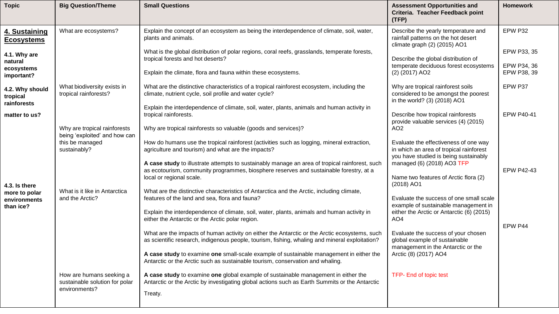| <b>Topic</b>                                        | <b>Big Question/Theme</b>                                                   | <b>Small Questions</b>                                                                                                                                                                                                                                                                                                                                                       | <b>Assessment Opportunities and</b><br>Criteria. Teacher Feedback point<br>(TFP)                                                                        | <b>Homework</b>                           |
|-----------------------------------------------------|-----------------------------------------------------------------------------|------------------------------------------------------------------------------------------------------------------------------------------------------------------------------------------------------------------------------------------------------------------------------------------------------------------------------------------------------------------------------|---------------------------------------------------------------------------------------------------------------------------------------------------------|-------------------------------------------|
| 4. Sustaining<br><b>Ecosystems</b>                  | What are ecosystems?                                                        | Explain the concept of an ecosystem as being the interdependence of climate, soil, water,<br>plants and animals.                                                                                                                                                                                                                                                             | Describe the yearly temperature and<br>rainfall patterns on the hot desert<br>climate graph (2) (2015) AO1                                              | EPW P32                                   |
| 4.1. Why are<br>natural<br>ecosystems<br>important? |                                                                             | What is the global distribution of polar regions, coral reefs, grasslands, temperate forests,<br>tropical forests and hot deserts?<br>Explain the climate, flora and fauna within these ecosystems.                                                                                                                                                                          | Describe the global distribution of<br>temperate deciduous forest ecosystems<br>(2) (2017) AO2                                                          | EPW P33, 35<br>EPW P34, 36<br>EPW P38, 39 |
| 4.2. Why should<br>tropical<br>rainforests          | What biodiversity exists in<br>tropical rainforests?                        | What are the distinctive characteristics of a tropical rainforest ecosystem, including the<br>climate, nutrient cycle, soil profile and water cycle?                                                                                                                                                                                                                         | Why are tropical rainforest soils<br>considered to be amongst the poorest<br>in the world? (3) (2018) AO1                                               | EPW P37                                   |
| matter to us?                                       | Why are tropical rainforests                                                | Explain the interdependence of climate, soil, water, plants, animals and human activity in<br>tropical rainforests.<br>Why are tropical rainforests so valuable (goods and services)?                                                                                                                                                                                        | Describe how tropical rainforests<br>provide valuable services (4) (2015)<br>AO <sub>2</sub>                                                            | <b>EPW P40-41</b>                         |
|                                                     | being 'exploited' and how can<br>this be managed<br>sustainably?            | How do humans use the tropical rainforest (activities such as logging, mineral extraction,<br>agriculture and tourism) and what are the impacts?<br>A case study to illustrate attempts to sustainably manage an area of tropical rainforest, such<br>as ecotourism, community programmes, biosphere reserves and sustainable forestry, at a                                 | Evaluate the effectiveness of one way<br>in which an area of tropical rainforest<br>you have studied is being sustainably<br>managed (6) (2018) AO3 TFP | <b>EPW P42-43</b>                         |
| 4.3. Is there                                       | What is it like in Antarctica                                               | local or regional scale.                                                                                                                                                                                                                                                                                                                                                     | Name two features of Arctic flora (2)<br>$(2018)$ AO1                                                                                                   |                                           |
| more to polar<br>environments<br>than ice?          | and the Arctic?                                                             | What are the distinctive characteristics of Antarctica and the Arctic, including climate,<br>features of the land and sea, flora and fauna?<br>Explain the interdependence of climate, soil, water, plants, animals and human activity in<br>either the Antarctic or the Arctic polar region.                                                                                | Evaluate the success of one small scale<br>example of sustainable management in<br>either the Arctic or Antarctic (6) (2015)<br>AO <sub>4</sub>         | EPW P44                                   |
|                                                     |                                                                             | What are the impacts of human activity on either the Antarctic or the Arctic ecosystems, such<br>as scientific research, indigenous people, tourism, fishing, whaling and mineral exploitation?<br>A case study to examine one small-scale example of sustainable management in either the<br>Antarctic or the Arctic such as sustainable tourism, conservation and whaling. | Evaluate the success of your chosen<br>global example of sustainable<br>management in the Antarctic or the<br>Arctic (8) (2017) AO4                     |                                           |
|                                                     | How are humans seeking a<br>sustainable solution for polar<br>environments? | A case study to examine one global example of sustainable management in either the<br>Antarctic or the Arctic by investigating global actions such as Earth Summits or the Antarctic<br>Treaty.                                                                                                                                                                              | TFP- End of topic test                                                                                                                                  |                                           |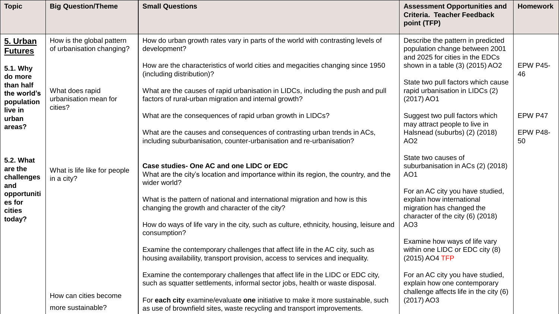| <b>Topic</b>                                                   | <b>Big Question/Theme</b>                              | <b>Small Questions</b>                                                                                                                                                                                         | <b>Assessment Opportunities and</b><br>Criteria. Teacher Feedback<br>point (TFP)                                                                                                | <b>Homework</b>       |
|----------------------------------------------------------------|--------------------------------------------------------|----------------------------------------------------------------------------------------------------------------------------------------------------------------------------------------------------------------|---------------------------------------------------------------------------------------------------------------------------------------------------------------------------------|-----------------------|
| 5. Urban<br><b>Futures</b><br>5.1. Why<br>do more<br>than half | How is the global pattern<br>of urbanisation changing? | How do urban growth rates vary in parts of the world with contrasting levels of<br>development?<br>How are the characteristics of world cities and megacities changing since 1950<br>(including distribution)? | Describe the pattern in predicted<br>population change between 2001<br>and 2025 for cities in the EDCs<br>shown in a table (3) (2015) AO2<br>State two pull factors which cause | <b>EPW P45-</b><br>46 |
| the world's<br>population                                      | What does rapid<br>urbanisation mean for<br>cities?    | What are the causes of rapid urbanisation in LIDCs, including the push and pull<br>factors of rural-urban migration and internal growth?                                                                       | rapid urbanisation in LIDCs (2)<br>$(2017)$ AO1                                                                                                                                 |                       |
| live in<br>urban                                               |                                                        | What are the consequences of rapid urban growth in LIDCs?                                                                                                                                                      | Suggest two pull factors which<br>may attract people to live in                                                                                                                 | EPW P47               |
| areas?                                                         |                                                        | What are the causes and consequences of contrasting urban trends in ACs,<br>including suburbanisation, counter-urbanisation and re-urbanisation?                                                               | Halsnead (suburbs) (2) (2018)<br>AO <sub>2</sub>                                                                                                                                | <b>EPW P48-</b><br>50 |
| <b>5.2. What</b><br>are the<br>challenges<br>and               | What is life like for people<br>in a city?             | Case studies-One AC and one LIDC or EDC<br>What are the city's location and importance within its region, the country, and the<br>wider world?                                                                 | State two causes of<br>suburbanisation in ACs (2) (2018)<br>AO <sub>1</sub>                                                                                                     |                       |
| opportuniti<br>es for<br>cities<br>today?                      |                                                        | What is the pattern of national and international migration and how is this<br>changing the growth and character of the city?                                                                                  | For an AC city you have studied,<br>explain how international<br>migration has changed the<br>character of the city (6) (2018)                                                  |                       |
|                                                                |                                                        | How do ways of life vary in the city, such as culture, ethnicity, housing, leisure and<br>consumption?                                                                                                         | AO <sub>3</sub>                                                                                                                                                                 |                       |
|                                                                |                                                        | Examine the contemporary challenges that affect life in the AC city, such as<br>housing availability, transport provision, access to services and inequality.                                                  | Examine how ways of life vary<br>within one LIDC or EDC city (8)<br>(2015) AO4 TFP                                                                                              |                       |
|                                                                |                                                        | Examine the contemporary challenges that affect life in the LIDC or EDC city,<br>such as squatter settlements, informal sector jobs, health or waste disposal.                                                 | For an AC city you have studied,<br>explain how one contemporary<br>challenge affects life in the city (6)                                                                      |                       |
|                                                                | How can cities become<br>more sustainable?             | For each city examine/evaluate one initiative to make it more sustainable, such<br>as use of brownfield sites, waste recycling and transport improvements.                                                     | $(2017)$ AO3                                                                                                                                                                    |                       |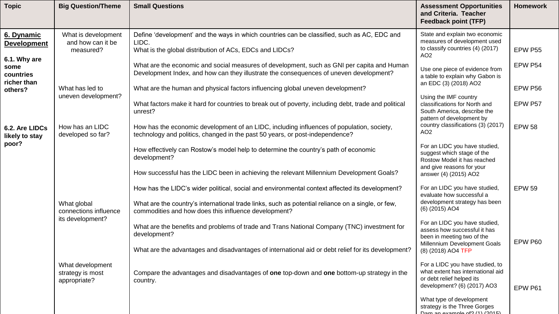| <b>Topic</b>                                     | <b>Big Question/Theme</b>                                | <b>Small Questions</b>                                                                                                                                                                            | <b>Assessment Opportunities</b><br>and Criteria. Teacher<br><b>Feedback point (TFP)</b>                                                          | <b>Homework</b>    |
|--------------------------------------------------|----------------------------------------------------------|---------------------------------------------------------------------------------------------------------------------------------------------------------------------------------------------------|--------------------------------------------------------------------------------------------------------------------------------------------------|--------------------|
| 6. Dynamic<br><b>Development</b>                 | What is development<br>and how can it be<br>measured?    | Define 'development' and the ways in which countries can be classified, such as AC, EDC and<br>LIDC.<br>What is the global distribution of ACs, EDCs and LIDCs?                                   | State and explain two economic<br>measures of development used<br>to classify countries (4) (2017)<br>AO <sub>2</sub>                            | EPW P55            |
| 6.1. Why are<br>some<br>countries<br>richer than | What has led to                                          | What are the economic and social measures of development, such as GNI per capita and Human<br>Development Index, and how can they illustrate the consequences of uneven development?              | Use one piece of evidence from<br>a table to explain why Gabon is<br>an EDC (3) (2018) AO2                                                       | EPW P54<br>EPW P56 |
| others?                                          | uneven development?                                      | What are the human and physical factors influencing global uneven development?<br>What factors make it hard for countries to break out of poverty, including debt, trade and political<br>unrest? | Using the IMF country<br>classifications for North and<br>South America, describe the<br>pattern of development by                               | EPW P57            |
| 6.2. Are LIDCs<br>likely to stay                 | How has an LIDC<br>developed so far?                     | How has the economic development of an LIDC, including influences of population, society,<br>technology and politics, changed in the past 50 years, or post-independence?                         | country classifications (3) (2017)<br>AO <sub>2</sub>                                                                                            | <b>EPW 58</b>      |
| poor?                                            |                                                          | How effectively can Rostow's model help to determine the country's path of economic<br>development?<br>How successful has the LIDC been in achieving the relevant Millennium Development Goals?   | For an LIDC you have studied,<br>suggest which stage of the<br>Rostow Model it has reached<br>and give reasons for your<br>answer (4) (2015) AO2 |                    |
|                                                  |                                                          | How has the LIDC's wider political, social and environmental context affected its development?                                                                                                    | For an LIDC you have studied,<br>evaluate how successful a<br>development strategy has been                                                      | <b>EPW 59</b>      |
|                                                  | What global<br>connections influence<br>its development? | What are the country's international trade links, such as potential reliance on a single, or few,<br>commodities and how does this influence development?                                         | (6) (2015) AO4                                                                                                                                   |                    |
|                                                  |                                                          | What are the benefits and problems of trade and Trans National Company (TNC) investment for<br>development?                                                                                       | For an LIDC you have studied,<br>assess how successful it has<br>been in meeting two of the<br>Millennium Development Goals                      | EPW P60            |
|                                                  |                                                          | What are the advantages and disadvantages of international aid or debt relief for its development?                                                                                                | (8) (2018) AO4 TFP                                                                                                                               |                    |
|                                                  | What development<br>strategy is most<br>appropriate?     | Compare the advantages and disadvantages of one top-down and one bottom-up strategy in the<br>country.                                                                                            | For a LIDC you have studied, to<br>what extent has international aid<br>or debt relief helped its<br>development? (6) (2017) AO3                 | EPW P61            |
|                                                  |                                                          |                                                                                                                                                                                                   | What type of development<br>strategy is the Three Gorges<br>Dom on avomolo of 2(4) (2015)                                                        |                    |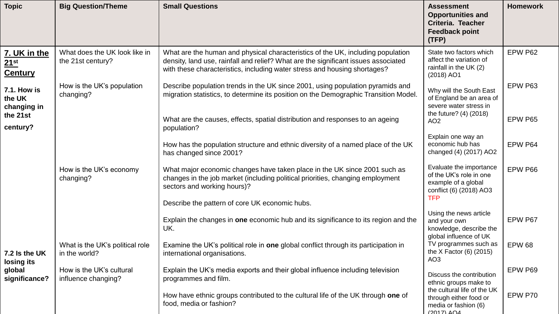| <b>Topic</b>                                       | <b>Big Question/Theme</b>                          | <b>Small Questions</b>                                                                                                                                                                                                                             | <b>Assessment</b><br><b>Opportunities and</b><br>Criteria. Teacher<br><b>Feedback point</b><br>(TFP)               | <b>Homework</b> |
|----------------------------------------------------|----------------------------------------------------|----------------------------------------------------------------------------------------------------------------------------------------------------------------------------------------------------------------------------------------------------|--------------------------------------------------------------------------------------------------------------------|-----------------|
| 7. UK in the<br>21 <sup>st</sup><br><b>Century</b> | What does the UK look like in<br>the 21st century? | What are the human and physical characteristics of the UK, including population<br>density, land use, rainfall and relief? What are the significant issues associated<br>with these characteristics, including water stress and housing shortages? | State two factors which<br>affect the variation of<br>rainfall in the UK (2)<br>(2018) AO1                         | EPW P62         |
| <b>7.1. How is</b><br>the UK<br>changing in        | How is the UK's population<br>changing?            | Describe population trends in the UK since 2001, using population pyramids and<br>migration statistics, to determine its position on the Demographic Transition Model.                                                                             | Why will the South East<br>of England be an area of<br>severe water stress in                                      | EPW P63         |
| the 21st<br>century?                               |                                                    | What are the causes, effects, spatial distribution and responses to an ageing<br>population?                                                                                                                                                       | the future? (4) (2018)<br>AO <sub>2</sub>                                                                          | EPW P65         |
|                                                    |                                                    | How has the population structure and ethnic diversity of a named place of the UK<br>has changed since 2001?                                                                                                                                        | Explain one way an<br>economic hub has<br>changed (4) (2017) AO2                                                   | EPW P64         |
|                                                    | How is the UK's economy<br>changing?               | What major economic changes have taken place in the UK since 2001 such as<br>changes in the job market (including political priorities, changing employment<br>sectors and working hours)?                                                         | Evaluate the importance<br>of the UK's role in one<br>example of a global<br>conflict (6) (2018) AO3<br><b>TFP</b> | EPW P66         |
|                                                    |                                                    | Describe the pattern of core UK economic hubs.                                                                                                                                                                                                     |                                                                                                                    |                 |
|                                                    |                                                    | Explain the changes in one economic hub and its significance to its region and the<br>UK.                                                                                                                                                          | Using the news article<br>and your own<br>knowledge, describe the<br>global influence of UK                        | EPW P67         |
| 7.2 Is the UK<br>losing its                        | What is the UK's political role<br>in the world?   | Examine the UK's political role in one global conflict through its participation in<br>international organisations.                                                                                                                                | TV programmes such as<br>the X Factor $(6)$ (2015)<br>AO <sub>3</sub>                                              | <b>EPW 68</b>   |
| global<br>significance?                            | How is the UK's cultural<br>influence changing?    | Explain the UK's media exports and their global influence including television<br>programmes and film.                                                                                                                                             | Discuss the contribution<br>ethnic groups make to                                                                  | EPW P69         |
|                                                    |                                                    | How have ethnic groups contributed to the cultural life of the UK through one of<br>food, media or fashion?                                                                                                                                        | the cultural life of the UK<br>through either food or<br>media or fashion (6)<br>$(2017)$ $\triangle$ 04           | EPW P70         |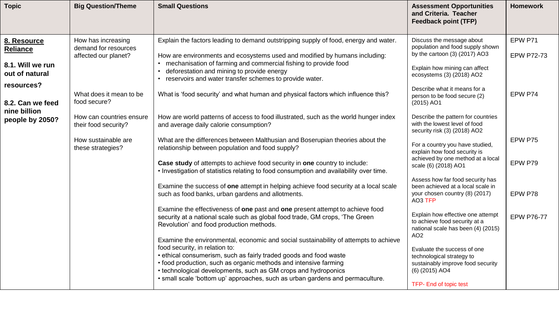| <b>Topic</b>                                                                       | <b>Big Question/Theme</b>                                                                                    | <b>Small Questions</b>                                                                                                                                                                                                                                                                                                                                                                                                                                                                                                                                                                                                                                                                                                                                                       | <b>Assessment Opportunities</b><br>and Criteria. Teacher<br><b>Feedback point (TFP)</b>                                                                                                                                                                                                                                                                                                        | <b>Homework</b>                         |
|------------------------------------------------------------------------------------|--------------------------------------------------------------------------------------------------------------|------------------------------------------------------------------------------------------------------------------------------------------------------------------------------------------------------------------------------------------------------------------------------------------------------------------------------------------------------------------------------------------------------------------------------------------------------------------------------------------------------------------------------------------------------------------------------------------------------------------------------------------------------------------------------------------------------------------------------------------------------------------------------|------------------------------------------------------------------------------------------------------------------------------------------------------------------------------------------------------------------------------------------------------------------------------------------------------------------------------------------------------------------------------------------------|-----------------------------------------|
| 8. Resource<br><b>Reliance</b><br>8.1. Will we run<br>out of natural<br>resources? | How has increasing<br>demand for resources<br>affected our planet?<br>What does it mean to be                | Explain the factors leading to demand outstripping supply of food, energy and water.<br>How are environments and ecosystems used and modified by humans including:<br>mechanisation of farming and commercial fishing to provide food<br>deforestation and mining to provide energy<br>$\bullet$<br>reservoirs and water transfer schemes to provide water.<br>What is 'food security' and what human and physical factors which influence this?                                                                                                                                                                                                                                                                                                                             | Discuss the message about<br>population and food supply shown<br>by the cartoon $(3)$ $(2017)$ AO3<br>Explain how mining can affect<br>ecosystems (3) (2018) AO2<br>Describe what it means for a<br>person to be food secure (2)                                                                                                                                                               | EPW P71<br><b>EPW P72-73</b><br>EPW P74 |
| 8.2. Can we feed<br>nine billion<br>people by 2050?                                | food secure?<br>How can countries ensure<br>their food security?<br>How sustainable are<br>these strategies? | How are world patterns of access to food illustrated, such as the world hunger index<br>and average daily calorie consumption?<br>What are the differences between Malthusian and Boserupian theories about the<br>relationship between population and food supply?<br>Case study of attempts to achieve food security in one country to include:<br>. Investigation of statistics relating to food consumption and availability over time.                                                                                                                                                                                                                                                                                                                                  | $(2015)$ AO1<br>Describe the pattern for countries<br>with the lowest level of food<br>security risk (3) (2018) AO2<br>For a country you have studied,<br>explain how food security is<br>achieved by one method at a local<br>scale (6) (2018) AO1                                                                                                                                            | EPW P75<br>EPW P79                      |
|                                                                                    |                                                                                                              | Examine the success of one attempt in helping achieve food security at a local scale<br>such as food banks, urban gardens and allotments.<br>Examine the effectiveness of one past and one present attempt to achieve food<br>security at a national scale such as global food trade, GM crops, 'The Green<br>Revolution' and food production methods.<br>Examine the environmental, economic and social sustainability of attempts to achieve<br>food security, in relation to:<br>• ethical consumerism, such as fairly traded goods and food waste<br>• food production, such as organic methods and intensive farming<br>• technological developments, such as GM crops and hydroponics<br>• small scale 'bottom up' approaches, such as urban gardens and permaculture. | Assess how far food security has<br>been achieved at a local scale in<br>your chosen country (8) (2017)<br>AO3 TFP<br>Explain how effective one attempt<br>to achieve food security at a<br>national scale has been (4) (2015)<br>AO <sub>2</sub><br>Evaluate the success of one<br>technological strategy to<br>sustainably improve food security<br>(6) (2015) AO4<br>TFP- End of topic test | EPW P78<br><b>EPW P76-77</b>            |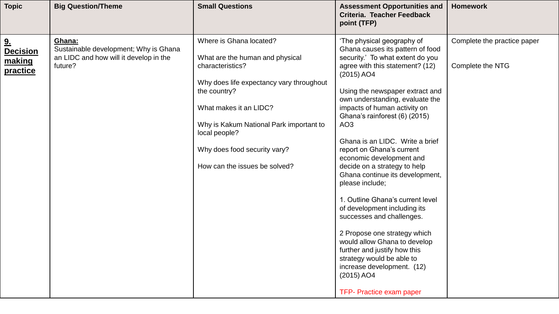| Where is Ghana located?<br>Complete the practice paper<br>'The physical geography of<br>Ghana:<br>9 <sub>1</sub><br>Sustainable development; Why is Ghana<br>Ghana causes its pattern of food<br><b>Decision</b><br>an LIDC and how will it develop in the<br>security.' To what extent do you<br>What are the human and physical<br>making<br>future?<br>agree with this statement? (12)<br>Complete the NTG<br>characteristics?<br>practice<br>$(2015)$ AO4<br>Why does life expectancy vary throughout<br>Using the newspaper extract and<br>the country?<br>own understanding, evaluate the<br>What makes it an LIDC?<br>impacts of human activity on<br>Ghana's rainforest (6) (2015)<br>AO <sub>3</sub><br>Why is Kakum National Park important to<br>local people?<br>Ghana is an LIDC. Write a brief<br>Why does food security vary?<br>report on Ghana's current<br>economic development and<br>How can the issues be solved?<br>decide on a strategy to help<br>Ghana continue its development,<br>please include;<br>1. Outline Ghana's current level<br>of development including its<br>successes and challenges. | <b>Topic</b> | <b>Big Question/Theme</b> | <b>Small Questions</b> | <b>Assessment Opportunities and</b><br>Criteria. Teacher Feedback<br>point (TFP) | <b>Homework</b> |
|-------------------------------------------------------------------------------------------------------------------------------------------------------------------------------------------------------------------------------------------------------------------------------------------------------------------------------------------------------------------------------------------------------------------------------------------------------------------------------------------------------------------------------------------------------------------------------------------------------------------------------------------------------------------------------------------------------------------------------------------------------------------------------------------------------------------------------------------------------------------------------------------------------------------------------------------------------------------------------------------------------------------------------------------------------------------------------------------------------------------------------|--------------|---------------------------|------------------------|----------------------------------------------------------------------------------|-----------------|
| 2 Propose one strategy which<br>would allow Ghana to develop<br>further and justify how this<br>strategy would be able to<br>increase development. (12)<br>$(2015)$ AO4<br>TFP- Practice exam paper                                                                                                                                                                                                                                                                                                                                                                                                                                                                                                                                                                                                                                                                                                                                                                                                                                                                                                                           |              |                           |                        |                                                                                  |                 |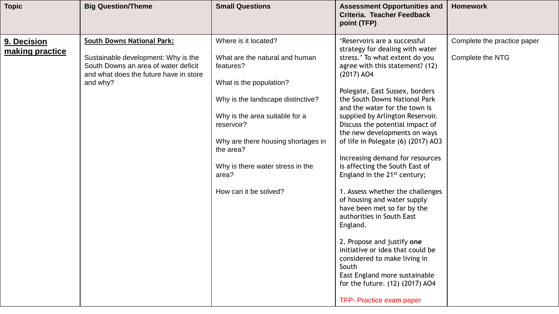| <b>South Downs National Park:</b><br>Where is it located?<br>'Reservoirs are a successful<br>Complete the practice paper<br>9. Decision<br>strategy for dealing with water<br>making practice<br>Sustainable development: Why is the<br>What are the natural and human<br>stress.' To what extent do you<br><b>Complete the NTG</b><br>South Downs an area of water deficit<br>agree with this statement? (12)<br>features?<br>and what does the future have in store<br>$(2017)$ AO4<br>and why?<br>What is the population?<br>Polegate, East Sussex, borders<br>the South Downs National Park<br>Why is the landscape distinctive?<br>and the water for the town is<br>Why is the area suitable for a<br>supplied by Arlington Reservoir.<br>reservoir?<br>Discuss the potential impact of<br>the new developments on ways<br>Why are there housing shortages in<br>of life in Polegate (6) (2017) AO3<br>the area?<br>Increasing demand for resources<br>is affecting the South East of<br>Why is there water stress in the<br>England in the 21 <sup>st</sup> century;<br>area?<br>How can it be solved?<br>1. Assess whether the challenges<br>of housing and water supply<br>have been met so far by the<br>authorities in South East<br>England.<br>2. Propose and justify one<br>initiative or idea that could be<br>considered to make living in<br>South<br>East England more sustainable<br>for the future. (12) (2017) AO4<br>TFP- Practice exam paper | <b>Topic</b> | <b>Big Question/Theme</b> | <b>Small Questions</b> | <b>Assessment Opportunities and</b><br>Criteria. Teacher Feedback<br>point (TFP) | <b>Homework</b> |
|--------------------------------------------------------------------------------------------------------------------------------------------------------------------------------------------------------------------------------------------------------------------------------------------------------------------------------------------------------------------------------------------------------------------------------------------------------------------------------------------------------------------------------------------------------------------------------------------------------------------------------------------------------------------------------------------------------------------------------------------------------------------------------------------------------------------------------------------------------------------------------------------------------------------------------------------------------------------------------------------------------------------------------------------------------------------------------------------------------------------------------------------------------------------------------------------------------------------------------------------------------------------------------------------------------------------------------------------------------------------------------------------------------------------------------------------------------------------|--------------|---------------------------|------------------------|----------------------------------------------------------------------------------|-----------------|
|                                                                                                                                                                                                                                                                                                                                                                                                                                                                                                                                                                                                                                                                                                                                                                                                                                                                                                                                                                                                                                                                                                                                                                                                                                                                                                                                                                                                                                                                    |              |                           |                        |                                                                                  |                 |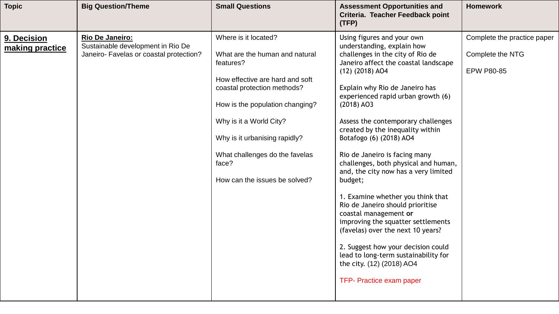| <b>Topic</b>                   | <b>Big Question/Theme</b>                                                                       | <b>Small Questions</b>                                                                                                                                                                                                                                                                                           | <b>Assessment Opportunities and</b><br>Criteria. Teacher Feedback point<br>(TFP)                                                                                                                                                                                                                                                                                                                                                                                                                                                                                                                                                                                                                                                                                                                         | <b>Homework</b>                                                      |
|--------------------------------|-------------------------------------------------------------------------------------------------|------------------------------------------------------------------------------------------------------------------------------------------------------------------------------------------------------------------------------------------------------------------------------------------------------------------|----------------------------------------------------------------------------------------------------------------------------------------------------------------------------------------------------------------------------------------------------------------------------------------------------------------------------------------------------------------------------------------------------------------------------------------------------------------------------------------------------------------------------------------------------------------------------------------------------------------------------------------------------------------------------------------------------------------------------------------------------------------------------------------------------------|----------------------------------------------------------------------|
| 9. Decision<br>making practice | Rio De Janeiro:<br>Sustainable development in Rio De<br>Janeiro- Favelas or coastal protection? | Where is it located?<br>What are the human and natural<br>features?<br>How effective are hard and soft<br>coastal protection methods?<br>How is the population changing?<br>Why is it a World City?<br>Why is it urbanising rapidly?<br>What challenges do the favelas<br>face?<br>How can the issues be solved? | Using figures and your own<br>understanding, explain how<br>challenges in the city of Rio de<br>Janeiro affect the coastal landscape<br>$(12)$ $(2018)$ AO4<br>Explain why Rio de Janeiro has<br>experienced rapid urban growth (6)<br>$(2018)$ AO3<br>Assess the contemporary challenges<br>created by the inequality within<br>Botafogo (6) (2018) AO4<br>Rio de Janeiro is facing many<br>challenges, both physical and human,<br>and, the city now has a very limited<br>budget;<br>1. Examine whether you think that<br>Rio de Janeiro should prioritise<br>coastal management or<br>improving the squatter settlements<br>(favelas) over the next 10 years?<br>2. Suggest how your decision could<br>lead to long-term sustainability for<br>the city. (12) (2018) AO4<br>TFP- Practice exam paper | Complete the practice paper<br>Complete the NTG<br><b>EPW P80-85</b> |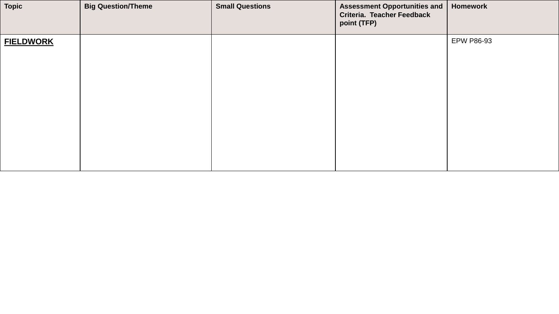| <b>Topic</b>     | <b>Big Question/Theme</b> | <b>Small Questions</b> | <b>Assessment Opportunities and</b><br><b>Criteria. Teacher Feedback</b><br>point (TFP) | Homework          |
|------------------|---------------------------|------------------------|-----------------------------------------------------------------------------------------|-------------------|
| <b>FIELDWORK</b> |                           |                        |                                                                                         | <b>EPW P86-93</b> |
|                  |                           |                        |                                                                                         |                   |
|                  |                           |                        |                                                                                         |                   |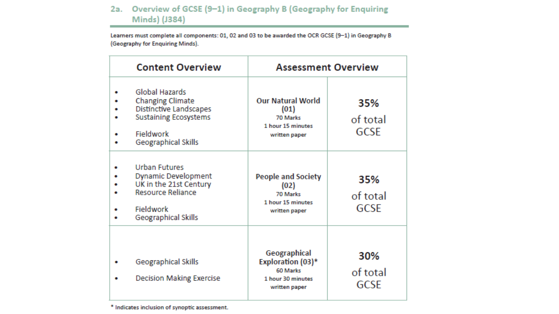#### 2a. Overview of GCSE (9-1) in Geography B (Geography for Enquiring Minds) (J384)

Learners must complete all components: 01, 02 and 03 to be awarded the OCR GCSE (9-1) in Geography B (Geography for Enquiring Minds).

| <b>Content Overview</b>                                                                                                                      |                                                                                            | <b>Assessment Overview</b>     |
|----------------------------------------------------------------------------------------------------------------------------------------------|--------------------------------------------------------------------------------------------|--------------------------------|
| Global Hazards<br><b>Changing Climate</b><br>Distinctive Landscapes<br><b>Sustaining Ecosystems</b><br>Fieldwork<br>Geographical Skills      | <b>Our Natural World</b><br>(01)<br>70 Marks<br>1 hour 15 minutes<br>written paper         | 35%<br>of total<br><b>GCSE</b> |
| <b>Urban Futures</b><br><b>Dynamic Development</b><br>UK in the 21st Century<br><b>Resource Reliance</b><br>Fieldwork<br>Geographical Skills | <b>People and Society</b><br>(02)<br>70 Marks<br>1 hour 15 minutes<br>written paper        | 35%<br>of total<br><b>GCSE</b> |
| Geographical Skills<br><b>Decision Making Exercise</b>                                                                                       | Geographical<br><b>Exploration (03)*</b><br>60 Marks<br>1 hour 30 minutes<br>written paper | 30%<br>of total<br>GCSE        |

\* Indicates inclusion of synoptic assessment.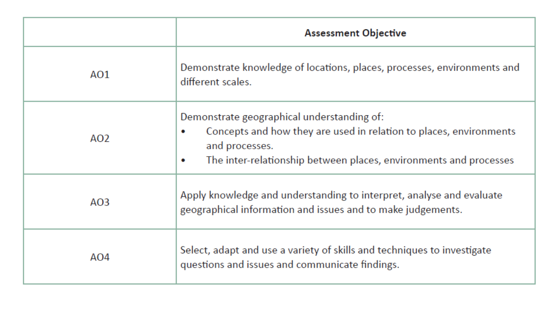|     | <b>Assessment Objective</b>                                                                                                                                                                                               |
|-----|---------------------------------------------------------------------------------------------------------------------------------------------------------------------------------------------------------------------------|
| AO1 | Demonstrate knowledge of locations, places, processes, environments and<br>different scales.                                                                                                                              |
| AO2 | Demonstrate geographical understanding of:<br>Concepts and how they are used in relation to places, environments<br>۰<br>and processes.<br>The inter-relationship between places, environments and processes<br>$\bullet$ |
| AO3 | Apply knowledge and understanding to interpret, analyse and evaluate<br>geographical information and issues and to make judgements.                                                                                       |
| AO4 | Select, adapt and use a variety of skills and techniques to investigate<br>questions and issues and communicate findings.                                                                                                 |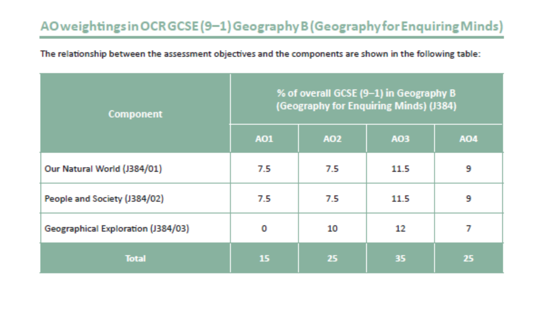# AO weightings in OCR GCSE (9-1) Geography B (Geography for Enquiring Minds)

The relationship between the assessment objectives and the components are shown in the following table:

| Component                          | % of overall GCSE (9-1) in Geography B<br>(Geography for Enquiring Minds) (J384) |     |      |     |
|------------------------------------|----------------------------------------------------------------------------------|-----|------|-----|
|                                    | A01                                                                              | A02 | A03  | A04 |
| Our Natural World (J384/01)        | 7.5                                                                              | 7.5 | 11.5 | 9   |
| People and Society (J384/02)       | 7.5                                                                              | 7.5 | 11.5 | 9   |
| Geographical Exploration (J384/03) | o                                                                                | 10  | 12   | 7   |
| <b>Total</b>                       | 15                                                                               | 25  | 35   | 25  |